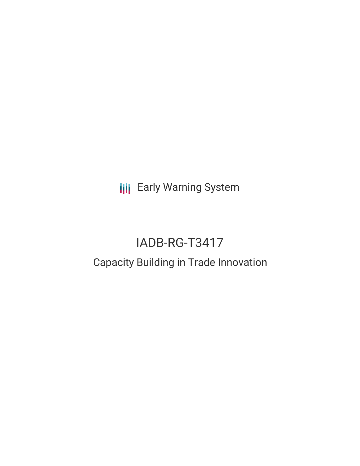**III** Early Warning System

# IADB-RG-T3417 Capacity Building in Trade Innovation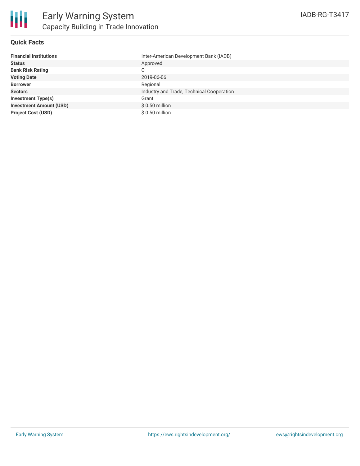

## **Quick Facts**

| <b>Financial Institutions</b>  | Inter-American Development Bank (IADB)    |
|--------------------------------|-------------------------------------------|
| <b>Status</b>                  | Approved                                  |
| <b>Bank Risk Rating</b>        | С                                         |
| <b>Voting Date</b>             | 2019-06-06                                |
| <b>Borrower</b>                | Regional                                  |
| <b>Sectors</b>                 | Industry and Trade, Technical Cooperation |
| <b>Investment Type(s)</b>      | Grant                                     |
| <b>Investment Amount (USD)</b> | $$0.50$ million                           |
| <b>Project Cost (USD)</b>      | $$0.50$ million                           |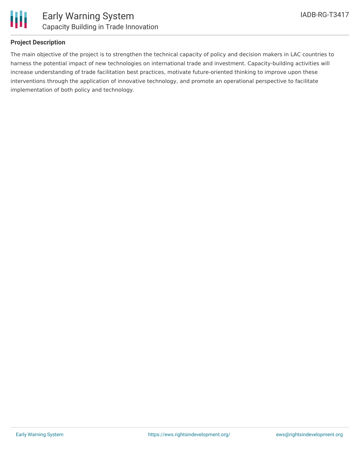

# **Project Description**

The main objective of the project is to strengthen the technical capacity of policy and decision makers in LAC countries to harness the potential impact of new technologies on international trade and investment. Capacity-building activities will increase understanding of trade facilitation best practices, motivate future-oriented thinking to improve upon these interventions through the application of innovative technology, and promote an operational perspective to facilitate implementation of both policy and technology.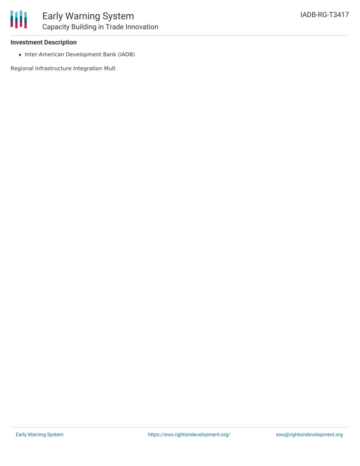### **Investment Description**

• Inter-American Development Bank (IADB)

Regional Infrastructure Integration Mult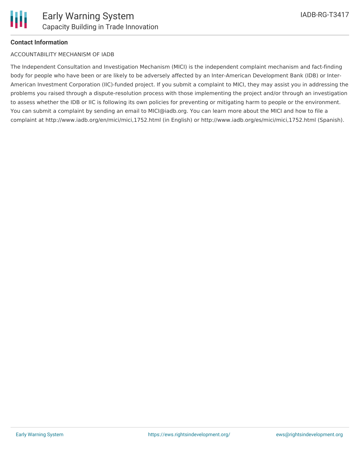

## **Contact Information**

#### ACCOUNTABILITY MECHANISM OF IADB

The Independent Consultation and Investigation Mechanism (MICI) is the independent complaint mechanism and fact-finding body for people who have been or are likely to be adversely affected by an Inter-American Development Bank (IDB) or Inter-American Investment Corporation (IIC)-funded project. If you submit a complaint to MICI, they may assist you in addressing the problems you raised through a dispute-resolution process with those implementing the project and/or through an investigation to assess whether the IDB or IIC is following its own policies for preventing or mitigating harm to people or the environment. You can submit a complaint by sending an email to MICI@iadb.org. You can learn more about the MICI and how to file a complaint at http://www.iadb.org/en/mici/mici,1752.html (in English) or http://www.iadb.org/es/mici/mici,1752.html (Spanish).